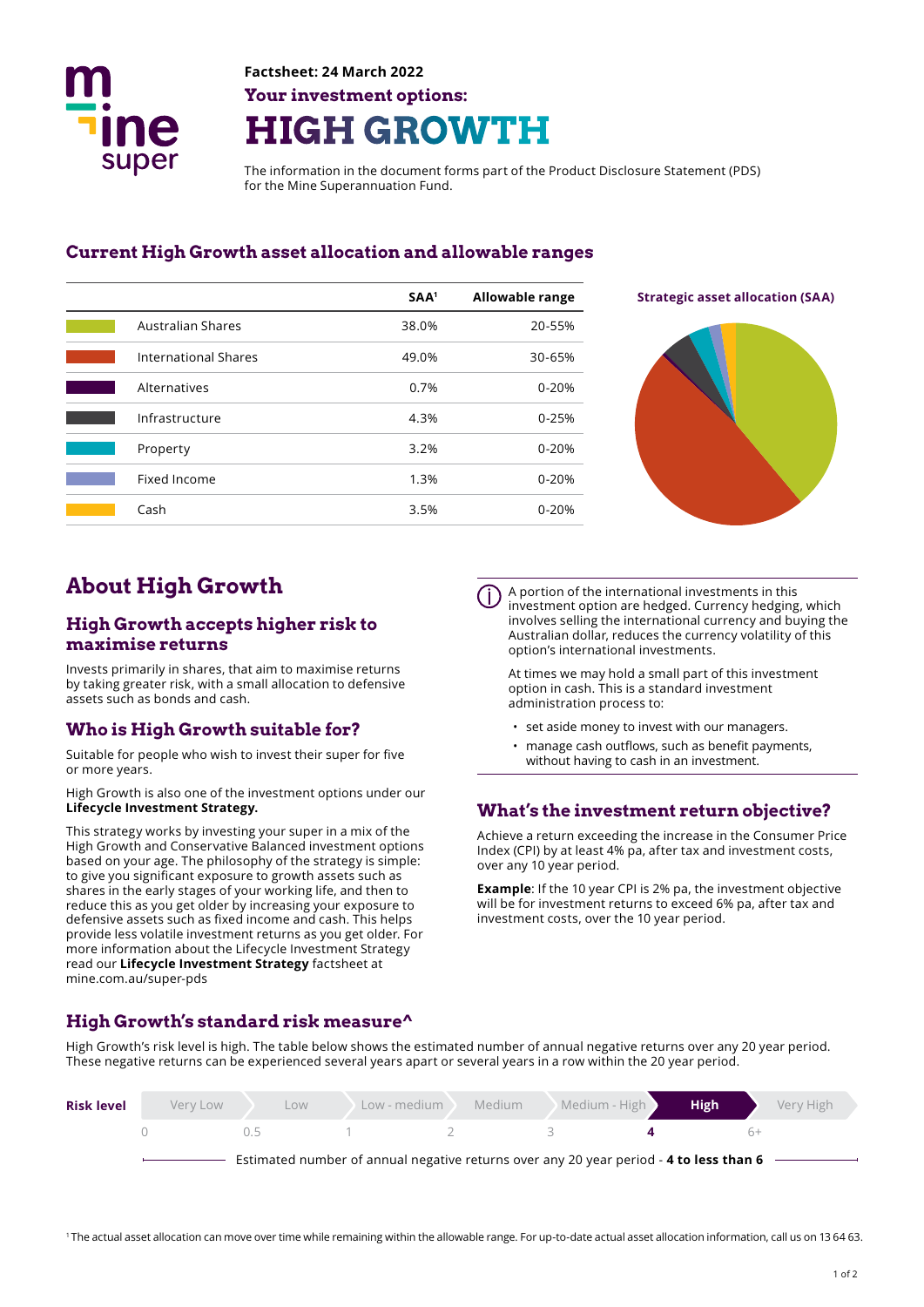

# **Factsheet: 24 March 2022 Your investment options: HIGH GROWTH**

The information in the document forms part of the Product Disclosure Statement (PDS) for the Mine Superannuation Fund.

#### **Current High Growth asset allocation and allowable ranges**

|                             | SAA <sup>1</sup> | <b>Allowable range</b> |
|-----------------------------|------------------|------------------------|
| <b>Australian Shares</b>    | 38.0%            | 20-55%                 |
| <b>International Shares</b> | 49.0%            | 30-65%                 |
| Alternatives                | 0.7%             | $0 - 20%$              |
| Infrastructure              | 4.3%             | $0 - 25%$              |
| Property                    | 3.2%             | $0 - 20%$              |
| Fixed Income                | 1.3%             | $0 - 20%$              |
| Cash                        | 3.5%             | $0 - 20%$              |





# **About High Growth**

#### **High Growth accepts higher risk to maximise returns**

Invests primarily in shares, that aim to maximise returns by taking greater risk, with a small allocation to defensive assets such as bonds and cash.

#### **Who is High Growth suitable for?**

Suitable for people who wish to invest their super for five or more years.

High Growth is also one of the investment options under our **Lifecycle Investment Strategy.** 

This strategy works by investing your super in a mix of the High Growth and Conservative Balanced investment options based on your age. The philosophy of the strategy is simple: to give you signifcant exposure to growth assets such as shares in the early stages of your working life, and then to reduce this as you get older by increasing your exposure to defensive assets such as fxed income and cash. This helps provide less volatile investment returns as you get older. For more information about the Lifecycle Investment Strategy read our **Lifecycle Investment Strategy** factsheet at mine.com.au/super-pds

A portion of the international investments in this investment option are hedged. Currency hedging, which involves selling the international currency and buying the Australian dollar, reduces the currency volatility of this option's international investments.

At times we may hold a small part of this investment option in cash. This is a standard investment administration process to:

- set aside money to invest with our managers.
- manage cash outflows, such as benefit payments, without having to cash in an investment.

#### **What's the investment return objective?**

Achieve a return exceeding the increase in the Consumer Price Index (CPI) by at least 4% pa, after tax and investment costs, over any 10 year period.

**Example**: If the 10 year CPI is 2% pa, the investment objective will be for investment returns to exceed 6% pa, after tax and investment costs, over the 10 year period.

### **High Growth's standard risk measure^**

High Growth's risk level is high. The table below shows the estimated number of annual negative returns over any 20 year period. These negative returns can be experienced several years apart or several years in a row within the 20 year period.

| <b>Risk level</b> | Very Low                                                                               | LOW  | Low - medium | Medium | Medium - High | <b>High</b> | Very High |
|-------------------|----------------------------------------------------------------------------------------|------|--------------|--------|---------------|-------------|-----------|
|                   |                                                                                        | () 5 |              |        |               |             |           |
|                   | Estimated number of annual negative returns over any 20 year period - 4 to less than 6 |      |              |        |               |             |           |